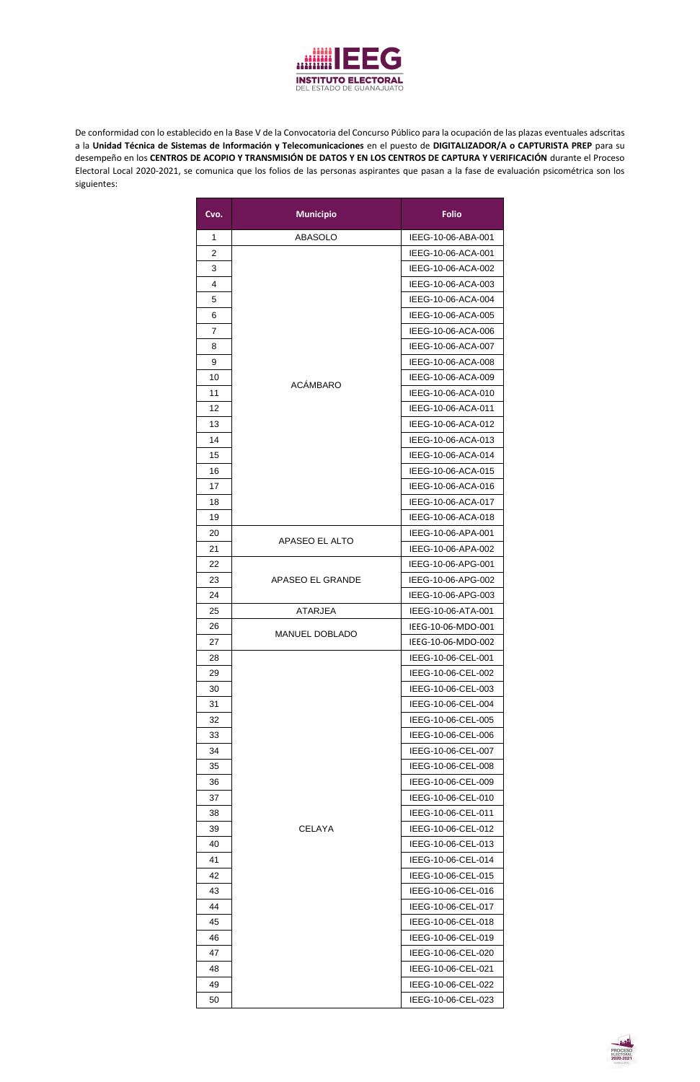

De conformidad con lo establecido en la Base V de la Convocatoria del Concurso Público para la ocupación de las plazas eventuales adscritas a la **Unidad Técnica de Sistemas de Información y Telecomunicaciones** en el puesto de **DIGITALIZADOR/A o CAPTURISTA PREP** para su desempeño en los **CENTROS DE ACOPIO Y TRANSMISIÓN DE DATOS Y EN LOS CENTROS DE CAPTURA Y VERIFICACIÓN** durante el Proceso Electoral Local 2020-2021, se comunica que los folios de las personas aspirantes que pasan a la fase de evaluación psicométrica son los siguientes:

| Cvo.           | <b>Municipio</b>      | <b>Folio</b>       |
|----------------|-----------------------|--------------------|
| 1              | <b>ABASOLO</b>        | IEEG-10-06-ABA-001 |
| $\overline{2}$ |                       | IEEG-10-06-ACA-001 |
| 3              |                       | IEEG-10-06-ACA-002 |
| 4              |                       | IEEG-10-06-ACA-003 |
| 5              |                       | IEEG-10-06-ACA-004 |
| 6              |                       | IEEG-10-06-ACA-005 |
| 7              |                       | IEEG-10-06-ACA-006 |
| 8              |                       | IEEG-10-06-ACA-007 |
| 9              |                       | IEEG-10-06-ACA-008 |
| 10             |                       | IEEG-10-06-ACA-009 |
| 11             | <b>ACÁMBARO</b>       | IEEG-10-06-ACA-010 |
| 12             |                       | IEEG-10-06-ACA-011 |
| 13             |                       | IEEG-10-06-ACA-012 |
| 14             |                       | IEEG-10-06-ACA-013 |
| 15             |                       | IEEG-10-06-ACA-014 |
| 16             |                       | IEEG-10-06-ACA-015 |
| 17             |                       | IEEG-10-06-ACA-016 |
| 18             |                       | IEEG-10-06-ACA-017 |
| 19             |                       | IEEG-10-06-ACA-018 |
| 20             |                       | IEEG-10-06-APA-001 |
| 21             | APASEO EL ALTO        | IEEG-10-06-APA-002 |
| 22             |                       | IEEG-10-06-APG-001 |
| 23             | APASEO EL GRANDE      | IEEG-10-06-APG-002 |
| 24             |                       | IEEG-10-06-APG-003 |
| 25             | <b>ATARJEA</b>        | IEEG-10-06-ATA-001 |
| 26             |                       | IEEG-10-06-MDO-001 |
| 27             | <b>MANUEL DOBLADO</b> | IEEG-10-06-MDO-002 |
| 28             |                       | IEEG-10-06-CEL-001 |
| 29             |                       | IEEG-10-06-CEL-002 |
| 30             |                       | IEEG-10-06-CEL-003 |
| 31             |                       | IEEG-10-06-CEL-004 |
| 32             |                       | IEEG-10-06-CEL-005 |
| 33             |                       | IEEG-10-06-CEL-006 |
| 34             |                       | IEEG-10-06-CEL-007 |
| 35             |                       | IEEG-10-06-CEL-008 |
| 36             |                       | IEEG-10-06-CEL-009 |
| 37             |                       | IEEG-10-06-CEL-010 |
| 38             |                       | IEEG-10-06-CEL-011 |
| 39             | <b>CELAYA</b>         | IEEG-10-06-CEL-012 |
| 40             |                       | IEEG-10-06-CEL-013 |
| 41             |                       | IEEG-10-06-CEL-014 |
| 42             |                       | IEEG-10-06-CEL-015 |
| 43             |                       | IEEG-10-06-CEL-016 |
| 44             |                       | IEEG-10-06-CEL-017 |
| 45             |                       | IEEG-10-06-CEL-018 |
| 46             |                       | IEEG-10-06-CEL-019 |
| 47             |                       | IEEG-10-06-CEL-020 |
| 48             |                       | IEEG-10-06-CEL-021 |
|                |                       |                    |
| 49             |                       | IEEG-10-06-CEL-022 |

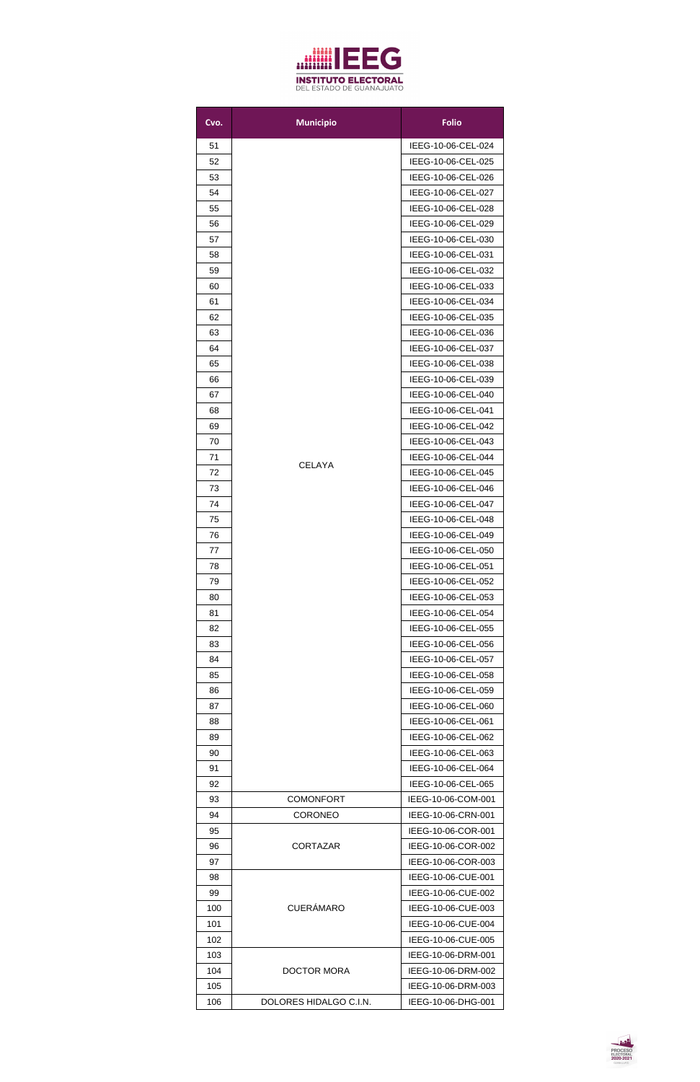

| Cvo. | <b>Municipio</b>       | <b>Folio</b>                             |
|------|------------------------|------------------------------------------|
| 51   |                        | IEEG-10-06-CEL-024                       |
| 52   |                        | IEEG-10-06-CEL-025                       |
| 53   |                        | IEEG-10-06-CEL-026                       |
| 54   |                        | IEEG-10-06-CEL-027                       |
| 55   |                        | IEEG-10-06-CEL-028                       |
| 56   |                        | IEEG-10-06-CEL-029                       |
| 57   |                        | IEEG-10-06-CEL-030                       |
| 58   |                        | IEEG-10-06-CEL-031                       |
| 59   |                        | IEEG-10-06-CEL-032                       |
| 60   |                        | IEEG-10-06-CEL-033                       |
| 61   |                        | IEEG-10-06-CEL-034                       |
| 62   |                        | IEEG-10-06-CEL-035                       |
| 63   |                        | IEEG-10-06-CEL-036                       |
| 64   |                        | IEEG-10-06-CEL-037                       |
| 65   |                        | IEEG-10-06-CEL-038                       |
| 66   |                        | IEEG-10-06-CEL-039                       |
| 67   |                        | IEEG-10-06-CEL-040                       |
| 68   |                        | IEEG-10-06-CEL-041                       |
| 69   |                        | IEEG-10-06-CEL-042                       |
| 70   |                        | IEEG-10-06-CEL-043                       |
| 71   |                        | IEEG-10-06-CEL-044                       |
| 72   | <b>CELAYA</b>          | IEEG-10-06-CEL-045                       |
| 73   |                        | IEEG-10-06-CEL-046                       |
| 74   |                        | IEEG-10-06-CEL-047                       |
| 75   |                        | IEEG-10-06-CEL-048                       |
| 76   |                        | IEEG-10-06-CEL-049                       |
| 77   |                        | IEEG-10-06-CEL-050                       |
| 78   |                        | IEEG-10-06-CEL-051                       |
| 79   |                        | IEEG-10-06-CEL-052                       |
| 80   |                        | IEEG-10-06-CEL-053                       |
| 81   |                        | IEEG-10-06-CEL-054                       |
| 82   |                        | IEEG-10-06-CEL-055                       |
| 83   |                        | IEEG-10-06-CEL-056                       |
| 84   |                        | IEEG-10-06-CEL-057                       |
| 85   |                        |                                          |
| 86   |                        | IEEG-10-06-CEL-058<br>IEEG-10-06-CEL-059 |
|      |                        |                                          |
| 87   |                        | IEEG-10-06-CEL-060                       |
| 88   |                        | IEEG-10-06-CEL-061                       |
| 89   |                        | IEEG-10-06-CEL-062                       |
| 90   |                        | IEEG-10-06-CEL-063                       |
| 91   |                        | IEEG-10-06-CEL-064                       |
| 92   |                        | IEEG-10-06-CEL-065                       |
| 93   | <b>COMONFORT</b>       | IEEG-10-06-COM-001                       |
| 94   | <b>CORONEO</b>         | IEEG-10-06-CRN-001                       |
| 95   |                        | IEEG-10-06-COR-001                       |
| 96   | <b>CORTAZAR</b>        | IEEG-10-06-COR-002                       |
| 97   |                        | IEEG-10-06-COR-003                       |
| 98   |                        | IEEG-10-06-CUE-001                       |
| 99   |                        | IEEG-10-06-CUE-002                       |
| 100  | <b>CUERÁMARO</b>       | IEEG-10-06-CUE-003                       |
| 101  |                        | IEEG-10-06-CUE-004                       |
| 102  |                        | IEEG-10-06-CUE-005                       |
| 103  |                        | IEEG-10-06-DRM-001                       |
| 104  | <b>DOCTOR MORA</b>     | IEEG-10-06-DRM-002                       |
| 105  |                        | IEEG-10-06-DRM-003                       |
| 106  | DOLORES HIDALGO C.I.N. | IEEG-10-06-DHG-001                       |

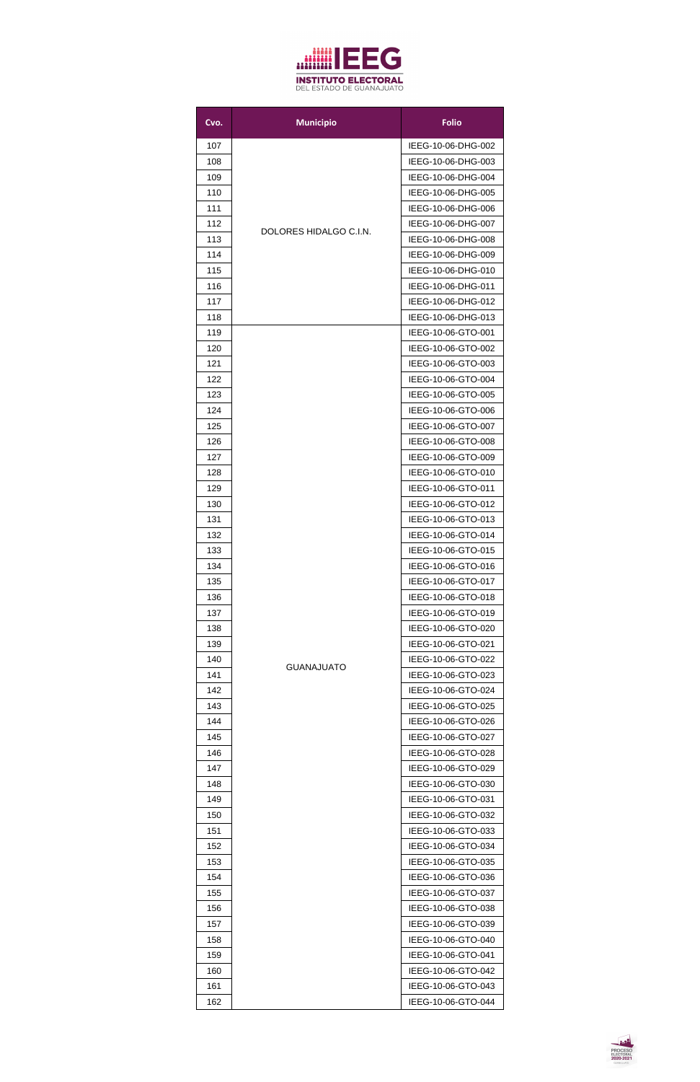

| Cvo.       | <b>Municipio</b>       | <b>Folio</b>                             |
|------------|------------------------|------------------------------------------|
| 107        |                        | IEEG-10-06-DHG-002                       |
| 108        |                        | IEEG-10-06-DHG-003                       |
| 109        |                        | IEEG-10-06-DHG-004                       |
| 110        |                        | IEEG-10-06-DHG-005                       |
| 111        |                        | IEEG-10-06-DHG-006                       |
| 112        |                        | IEEG-10-06-DHG-007                       |
| 113        | DOLORES HIDALGO C.I.N. | IEEG-10-06-DHG-008                       |
| 114        |                        | IEEG-10-06-DHG-009                       |
| 115        |                        | IEEG-10-06-DHG-010                       |
| 116        |                        | IEEG-10-06-DHG-011                       |
| 117        |                        | IEEG-10-06-DHG-012                       |
| 118        |                        | IEEG-10-06-DHG-013                       |
| 119        |                        | IEEG-10-06-GTO-001                       |
| 120        |                        | IEEG-10-06-GTO-002                       |
| 121        |                        | IEEG-10-06-GTO-003                       |
| 122        |                        | IEEG-10-06-GTO-004                       |
| 123        |                        | IEEG-10-06-GTO-005                       |
| 124        |                        | IEEG-10-06-GTO-006                       |
| 125        |                        | IEEG-10-06-GTO-007                       |
| 126        |                        | IEEG-10-06-GTO-008                       |
| 127        |                        | IEEG-10-06-GTO-009                       |
| 128        |                        | IEEG-10-06-GTO-010                       |
| 129        |                        | IEEG-10-06-GTO-011                       |
| 130        |                        | IEEG-10-06-GTO-012                       |
| 131        |                        | IEEG-10-06-GTO-013                       |
| 132        |                        | IEEG-10-06-GTO-014                       |
| 133        |                        | IEEG-10-06-GTO-015                       |
| 134        |                        | IEEG-10-06-GTO-016                       |
| 135<br>136 |                        | IEEG-10-06-GTO-017<br>IEEG-10-06-GTO-018 |
| 137        |                        | IEEG-10-06-GTO-019                       |
| 138        |                        | IEEG-10-06-GTO-020                       |
| 139        |                        | IEEG-10-06-GTO-021                       |
| 140        |                        | IEEG-10-06-GTO-022                       |
| 141        | <b>GUANAJUATO</b>      | IEEG-10-06-GTO-023                       |
| 142        |                        | IEEG-10-06-GTO-024                       |
| 143        |                        | IEEG-10-06-GTO-025                       |
| 144        |                        | IEEG-10-06-GTO-026                       |
| 145        |                        | IEEG-10-06-GTO-027                       |
| 146        |                        | IEEG-10-06-GTO-028                       |
| 147        |                        | IEEG-10-06-GTO-029                       |
| 148        |                        | IEEG-10-06-GTO-030                       |
| 149        |                        | IEEG-10-06-GTO-031                       |
| 150        |                        | IEEG-10-06-GTO-032                       |
| 151        |                        | IEEG-10-06-GTO-033                       |
| 152        |                        | IEEG-10-06-GTO-034                       |
| 153        |                        | IEEG-10-06-GTO-035                       |
| 154        |                        | IEEG-10-06-GTO-036                       |
| 155        |                        | IEEG-10-06-GTO-037                       |
| 156        |                        | IEEG-10-06-GTO-038                       |
| 157        |                        | IEEG-10-06-GTO-039                       |
| 158        |                        | IEEG-10-06-GTO-040                       |
| 159        |                        | IEEG-10-06-GTO-041                       |
| 160        |                        | IEEG-10-06-GTO-042                       |
| 161        |                        | IEEG-10-06-GTO-043                       |
| 162        |                        | IEEG-10-06-GTO-044                       |

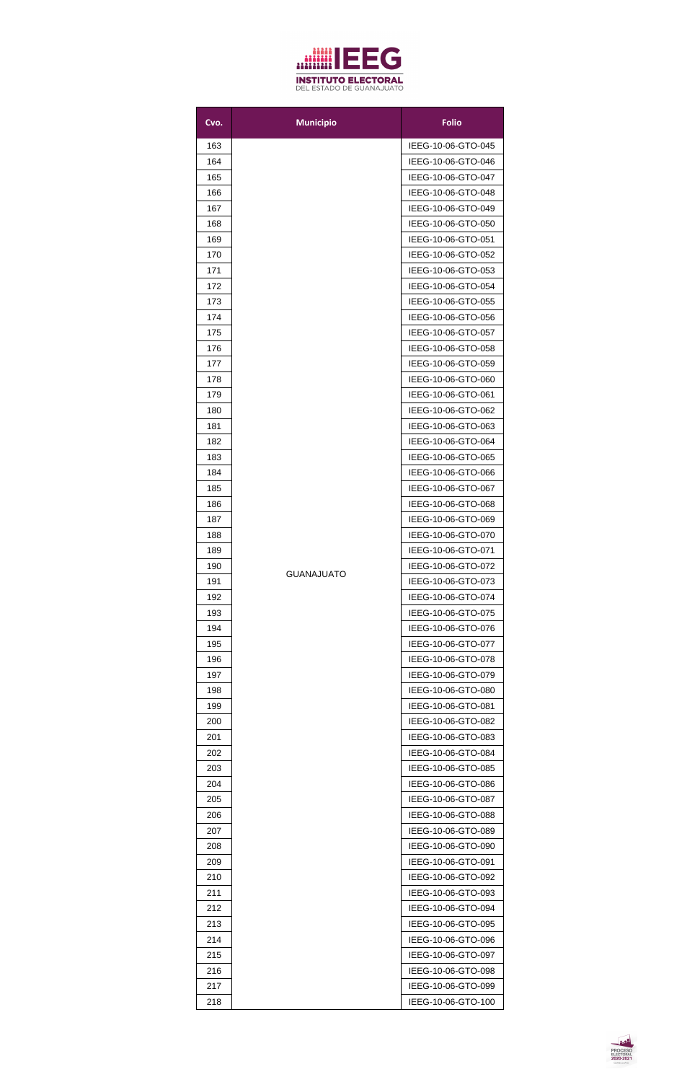

| Cvo. | <b>Municipio</b>  | <b>Folio</b>       |
|------|-------------------|--------------------|
| 163  |                   | IEEG-10-06-GTO-045 |
| 164  |                   | IEEG-10-06-GTO-046 |
| 165  |                   | IEEG-10-06-GTO-047 |
| 166  |                   | IEEG-10-06-GTO-048 |
| 167  |                   | IEEG-10-06-GTO-049 |
| 168  |                   | IEEG-10-06-GTO-050 |
| 169  |                   | IEEG-10-06-GTO-051 |
| 170  |                   | IEEG-10-06-GTO-052 |
| 171  |                   | IEEG-10-06-GTO-053 |
| 172  |                   | IEEG-10-06-GTO-054 |
| 173  |                   | IEEG-10-06-GTO-055 |
| 174  |                   | IEEG-10-06-GTO-056 |
| 175  |                   | IEEG-10-06-GTO-057 |
| 176  |                   | IEEG-10-06-GTO-058 |
| 177  |                   | IEEG-10-06-GTO-059 |
| 178  |                   | IEEG-10-06-GTO-060 |
| 179  |                   | IEEG-10-06-GTO-061 |
| 180  |                   | IEEG-10-06-GTO-062 |
| 181  |                   | IEEG-10-06-GTO-063 |
| 182  |                   | IEEG-10-06-GTO-064 |
| 183  |                   | IEEG-10-06-GTO-065 |
| 184  |                   | IEEG-10-06-GTO-066 |
| 185  |                   | IEEG-10-06-GTO-067 |
| 186  |                   | IEEG-10-06-GTO-068 |
| 187  |                   | IEEG-10-06-GTO-069 |
| 188  |                   | IEEG-10-06-GTO-070 |
| 189  |                   | IEEG-10-06-GTO-071 |
| 190  |                   | IEEG-10-06-GTO-072 |
| 191  | <b>GUANAJUATO</b> | IEEG-10-06-GTO-073 |
| 192  |                   | IEEG-10-06-GTO-074 |
| 193  |                   | IEEG-10-06-GTO-075 |
| 194  |                   | IEEG-10-06-GTO-076 |
| 195  |                   | IEEG-10-06-GTO-077 |
| 196  |                   | IEEG-10-06-GTO-078 |
| 197  |                   | IEEG-10-06-GTO-079 |
| 198  |                   | IEEG-10-06-GTO-080 |
| 199  |                   | IEEG-10-06-GTO-081 |
| 200  |                   | IEEG-10-06-GTO-082 |
| 201  |                   | IEEG-10-06-GTO-083 |
| 202  |                   | IEEG-10-06-GTO-084 |
| 203  |                   | IEEG-10-06-GTO-085 |
| 204  |                   | IEEG-10-06-GTO-086 |
| 205  |                   | IEEG-10-06-GTO-087 |
| 206  |                   | IEEG-10-06-GTO-088 |
| 207  |                   | IEEG-10-06-GTO-089 |
| 208  |                   | IEEG-10-06-GTO-090 |
| 209  |                   | IEEG-10-06-GTO-091 |
| 210  |                   | IEEG-10-06-GTO-092 |
| 211  |                   | IEEG-10-06-GTO-093 |
| 212  |                   | IEEG-10-06-GTO-094 |
| 213  |                   | IEEG-10-06-GTO-095 |
| 214  |                   | IEEG-10-06-GTO-096 |
| 215  |                   | IEEG-10-06-GTO-097 |
| 216  |                   | IEEG-10-06-GTO-098 |
| 217  |                   | IEEG-10-06-GTO-099 |
| 218  |                   | IEEG-10-06-GTO-100 |

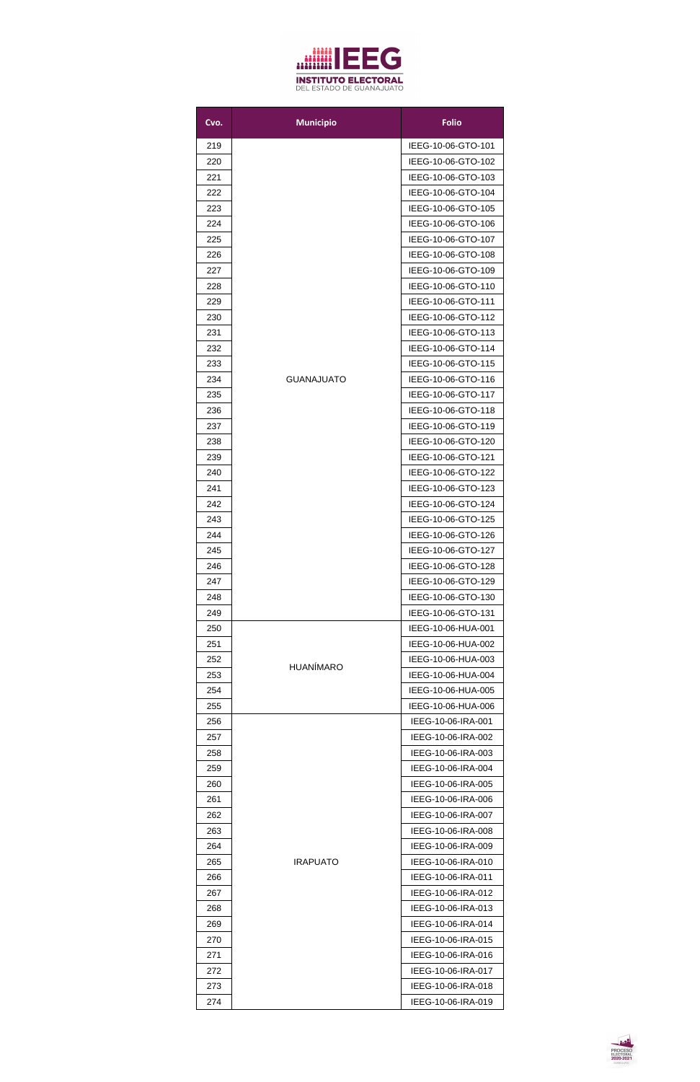

| Cvo.       | <b>Municipio</b>  | <b>Folio</b>                             |
|------------|-------------------|------------------------------------------|
| 219        |                   | IEEG-10-06-GTO-101                       |
| 220        |                   | IEEG-10-06-GTO-102                       |
| 221        |                   | IEEG-10-06-GTO-103                       |
| 222        |                   | IEEG-10-06-GTO-104                       |
| 223        |                   | IEEG-10-06-GTO-105                       |
| 224        |                   | IEEG-10-06-GTO-106                       |
| 225        |                   | IEEG-10-06-GTO-107                       |
| 226        |                   | IEEG-10-06-GTO-108                       |
| 227        |                   | IEEG-10-06-GTO-109                       |
| 228        |                   | IEEG-10-06-GTO-110                       |
| 229        |                   | IEEG-10-06-GTO-111                       |
| 230        |                   | IEEG-10-06-GTO-112                       |
| 231        |                   | IEEG-10-06-GTO-113                       |
| 232        |                   | IEEG-10-06-GTO-114                       |
| 233        |                   | IEEG-10-06-GTO-115                       |
| 234        | <b>GUANAJUATO</b> | IEEG-10-06-GTO-116                       |
| 235        |                   | IEEG-10-06-GTO-117                       |
| 236        |                   | IEEG-10-06-GTO-118                       |
| 237        |                   | IEEG-10-06-GTO-119                       |
| 238        |                   | IEEG-10-06-GTO-120                       |
| 239        |                   | IEEG-10-06-GTO-121                       |
| 240        |                   | IEEG-10-06-GTO-122                       |
| 241        |                   | IEEG-10-06-GTO-123                       |
| 242        |                   | IEEG-10-06-GTO-124                       |
| 243<br>244 |                   | IEEG-10-06-GTO-125<br>IEEG-10-06-GTO-126 |
| 245        |                   | IEEG-10-06-GTO-127                       |
| 246        |                   | IEEG-10-06-GTO-128                       |
| 247        |                   | IEEG-10-06-GTO-129                       |
| 248        |                   | IEEG-10-06-GTO-130                       |
| 249        |                   | IEEG-10-06-GTO-131                       |
| 250        |                   | IEEG-10-06-HUA-001                       |
| 251        |                   | IEEG-10-06-HUA-002                       |
| 252        |                   | IEEG-10-06-HUA-003                       |
| 253        | <b>HUANÍMARO</b>  | IEEG-10-06-HUA-004                       |
| 254        |                   | IEEG-10-06-HUA-005                       |
| 255        |                   | IEEG-10-06-HUA-006                       |
| 256        |                   | IEEG-10-06-IRA-001                       |
| 257        |                   | IEEG-10-06-IRA-002                       |
| 258        |                   | IEEG-10-06-IRA-003                       |
| 259        |                   | IEEG-10-06-IRA-004                       |
| 260        |                   | IEEG-10-06-IRA-005                       |
| 261        |                   | IEEG-10-06-IRA-006                       |
| 262        |                   | IEEG-10-06-IRA-007                       |
| 263        |                   | IEEG-10-06-IRA-008                       |
| 264        |                   | IEEG-10-06-IRA-009                       |
| 265        | <b>IRAPUATO</b>   | IEEG-10-06-IRA-010                       |
| 266        |                   | IEEG-10-06-IRA-011                       |
| 267        |                   | IEEG-10-06-IRA-012                       |
| 268        |                   | IEEG-10-06-IRA-013                       |
| 269        |                   | IEEG-10-06-IRA-014                       |
| 270        |                   | IEEG-10-06-IRA-015                       |
| 271        |                   | IEEG-10-06-IRA-016                       |
| 272        |                   | IEEG-10-06-IRA-017                       |
| 273        |                   | IEEG-10-06-IRA-018<br>IEEG-10-06-IRA-019 |
| 274        |                   |                                          |

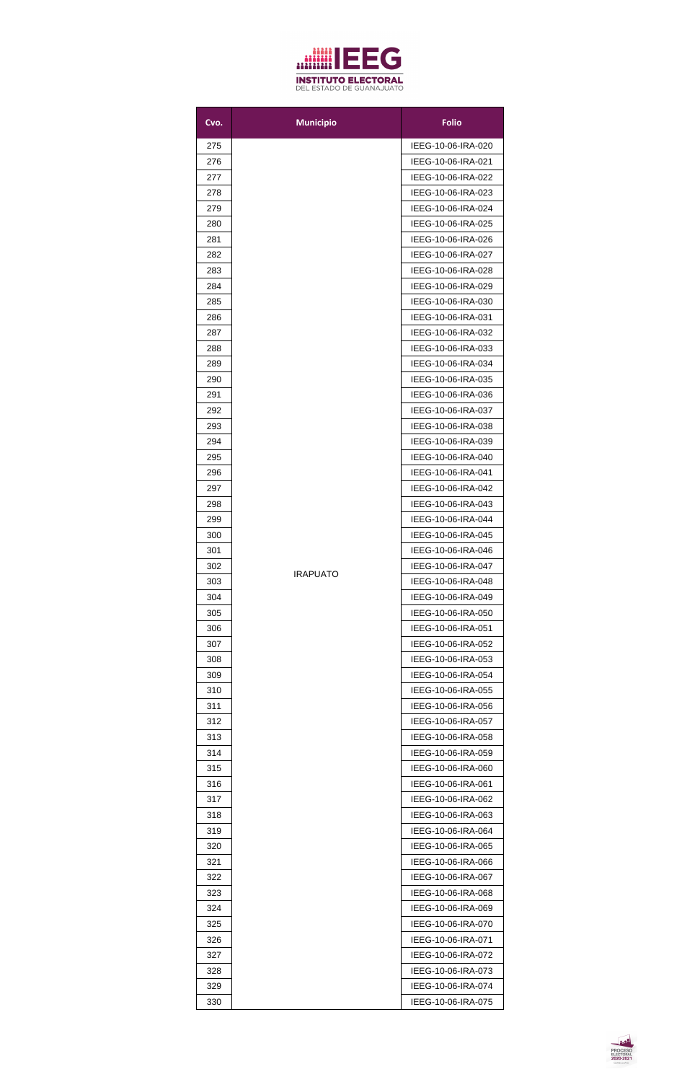

| Cvo.       | <b>Municipio</b> | <b>Folio</b>                             |
|------------|------------------|------------------------------------------|
| 275        |                  | IEEG-10-06-IRA-020                       |
| 276        |                  | IEEG-10-06-IRA-021                       |
| 277        |                  | IEEG-10-06-IRA-022                       |
| 278        |                  | IEEG-10-06-IRA-023                       |
| 279        |                  | IEEG-10-06-IRA-024                       |
| 280        |                  | IEEG-10-06-IRA-025                       |
| 281        |                  | IEEG-10-06-IRA-026                       |
| 282        |                  | IEEG-10-06-IRA-027                       |
| 283        |                  | IEEG-10-06-IRA-028                       |
| 284        |                  | IEEG-10-06-IRA-029                       |
| 285        |                  | IEEG-10-06-IRA-030                       |
| 286        |                  | IEEG-10-06-IRA-031                       |
| 287        |                  | IEEG-10-06-IRA-032                       |
| 288        |                  | IEEG-10-06-IRA-033                       |
| 289        |                  | IEEG-10-06-IRA-034                       |
| 290        |                  | IEEG-10-06-IRA-035                       |
| 291        |                  | IEEG-10-06-IRA-036                       |
| 292        |                  | IEEG-10-06-IRA-037                       |
| 293        |                  | IEEG-10-06-IRA-038                       |
| 294        |                  | IEEG-10-06-IRA-039                       |
| 295        |                  | IEEG-10-06-IRA-040                       |
| 296        |                  | IEEG-10-06-IRA-041                       |
| 297        |                  | IEEG-10-06-IRA-042                       |
| 298        |                  | IEEG-10-06-IRA-043                       |
| 299        |                  | IEEG-10-06-IRA-044                       |
| 300        |                  | IEEG-10-06-IRA-045                       |
| 301        |                  | IEEG-10-06-IRA-046                       |
| 302        | <b>IRAPUATO</b>  | IEEG-10-06-IRA-047                       |
| 303        |                  | IEEG-10-06-IRA-048                       |
| 304        |                  | IEEG-10-06-IRA-049                       |
| 305        |                  | IEEG-10-06-IRA-050                       |
| 306        |                  | IEEG-10-06-IRA-051                       |
| 307        |                  | IEEG-10-06-IRA-052                       |
| 308        |                  | IEEG-10-06-IRA-053                       |
| 309        |                  | IEEG-10-06-IRA-054                       |
| 310        |                  | IEEG-10-06-IRA-055                       |
| 311        |                  | IEEG-10-06-IRA-056                       |
| 312        |                  | IEEG-10-06-IRA-057                       |
| 313        |                  | IEEG-10-06-IRA-058                       |
| 314        |                  | IEEG-10-06-IRA-059                       |
| 315        |                  | IEEG-10-06-IRA-060                       |
| 316        |                  | IEEG-10-06-IRA-061                       |
| 317<br>318 |                  | IEEG-10-06-IRA-062<br>IEEG-10-06-IRA-063 |
| 319        |                  | IEEG-10-06-IRA-064                       |
| 320        |                  | IEEG-10-06-IRA-065                       |
| 321        |                  | IEEG-10-06-IRA-066                       |
| 322        |                  | IEEG-10-06-IRA-067                       |
| 323        |                  | IEEG-10-06-IRA-068                       |
| 324        |                  | IEEG-10-06-IRA-069                       |
| 325        |                  | IEEG-10-06-IRA-070                       |
| 326        |                  | IEEG-10-06-IRA-071                       |
| 327        |                  | IEEG-10-06-IRA-072                       |
| 328        |                  | IEEG-10-06-IRA-073                       |
| 329        |                  | IEEG-10-06-IRA-074                       |
| 330        |                  | IEEG-10-06-IRA-075                       |

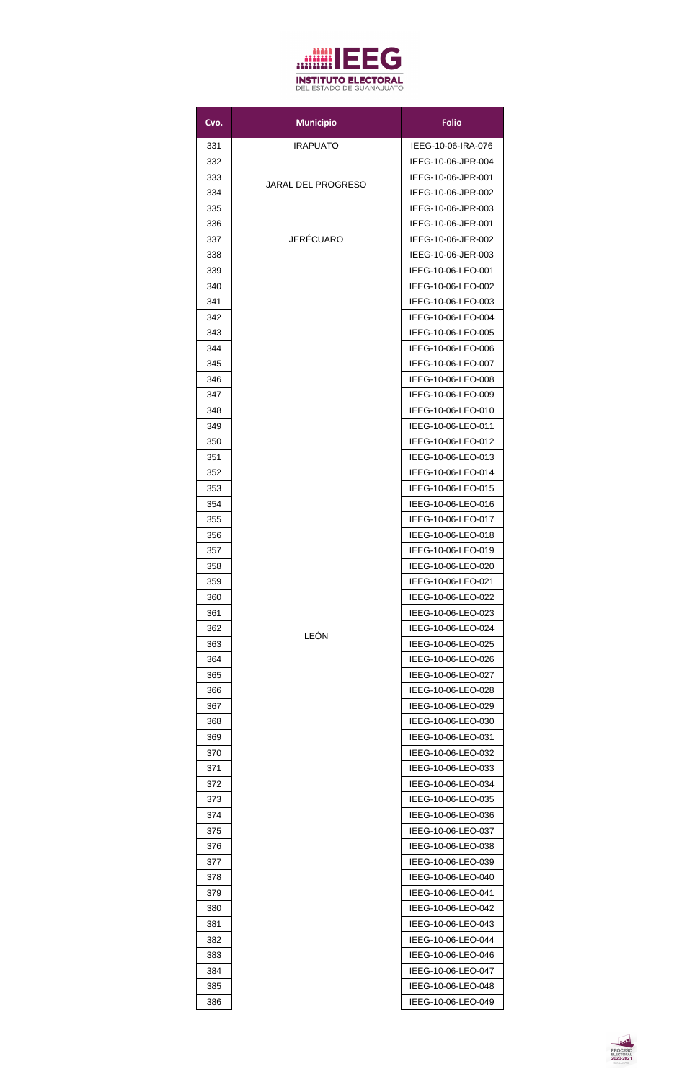

| Cvo.       | <b>Municipio</b>          | <b>Folio</b>                             |
|------------|---------------------------|------------------------------------------|
| 331        | <b>IRAPUATO</b>           | IEEG-10-06-IRA-076                       |
| 332        |                           | IEEG-10-06-JPR-004                       |
| 333        |                           | IEEG-10-06-JPR-001                       |
| 334        | <b>JARAL DEL PROGRESO</b> | IEEG-10-06-JPR-002                       |
| 335        |                           | IEEG-10-06-JPR-003                       |
| 336        |                           | IEEG-10-06-JER-001                       |
| 337        | <b>JERÉCUARO</b>          | IEEG-10-06-JER-002                       |
| 338        |                           | IEEG-10-06-JER-003                       |
| 339        |                           | IEEG-10-06-LEO-001                       |
| 340        |                           | IEEG-10-06-LEO-002                       |
| 341        |                           | IEEG-10-06-LEO-003                       |
| 342        |                           | IEEG-10-06-LEO-004                       |
| 343        |                           | IEEG-10-06-LEO-005                       |
| 344        |                           | IEEG-10-06-LEO-006                       |
| 345        |                           | IEEG-10-06-LEO-007                       |
| 346        |                           | IEEG-10-06-LEO-008                       |
| 347        |                           | IEEG-10-06-LEO-009                       |
| 348        |                           | IEEG-10-06-LEO-010                       |
| 349        |                           | IEEG-10-06-LEO-011                       |
| 350        |                           | IEEG-10-06-LEO-012                       |
| 351        |                           | IEEG-10-06-LEO-013                       |
| 352        |                           | IEEG-10-06-LEO-014                       |
| 353        |                           | IEEG-10-06-LEO-015                       |
| 354        |                           | IEEG-10-06-LEO-016                       |
| 355        |                           | IEEG-10-06-LEO-017                       |
| 356        |                           | IEEG-10-06-LEO-018                       |
| 357        |                           | IEEG-10-06-LEO-019                       |
| 358<br>359 |                           | IEEG-10-06-LEO-020<br>IEEG-10-06-LEO-021 |
| 360        |                           | IEEG-10-06-LEO-022                       |
| 361        |                           | IEEG-10-06-LEO-023                       |
| 362        |                           | IEEG-10-06-LEO-024                       |
| 363        | LEÓN                      | IEEG-10-06-LEO-025                       |
| 364        |                           | IEEG-10-06-LEO-026                       |
| 365        |                           | IEEG-10-06-LEO-027                       |
| 366        |                           | IEEG-10-06-LEO-028                       |
| 367        |                           | IEEG-10-06-LEO-029                       |
| 368        |                           | IEEG-10-06-LEO-030                       |
| 369        |                           | IEEG-10-06-LEO-031                       |
| 370        |                           | IEEG-10-06-LEO-032                       |
| 371        |                           | IEEG-10-06-LEO-033                       |
| 372        |                           | IEEG-10-06-LEO-034                       |
| 373        |                           | IEEG-10-06-LEO-035                       |
| 374        |                           | IEEG-10-06-LEO-036                       |
| 375        |                           | IEEG-10-06-LEO-037                       |
| 376        |                           | IEEG-10-06-LEO-038                       |
| 377        |                           | IEEG-10-06-LEO-039                       |
| 378        |                           | IEEG-10-06-LEO-040                       |
| 379        |                           | IEEG-10-06-LEO-041                       |
| 380        |                           | IEEG-10-06-LEO-042                       |
| 381        |                           | IEEG-10-06-LEO-043                       |
| 382        |                           | IEEG-10-06-LEO-044                       |
| 383        |                           | IEEG-10-06-LEO-046                       |
| 384        |                           | IEEG-10-06-LEO-047                       |
| 385        |                           | IEEG-10-06-LEO-048                       |
| 386        |                           | IEEG-10-06-LEO-049                       |

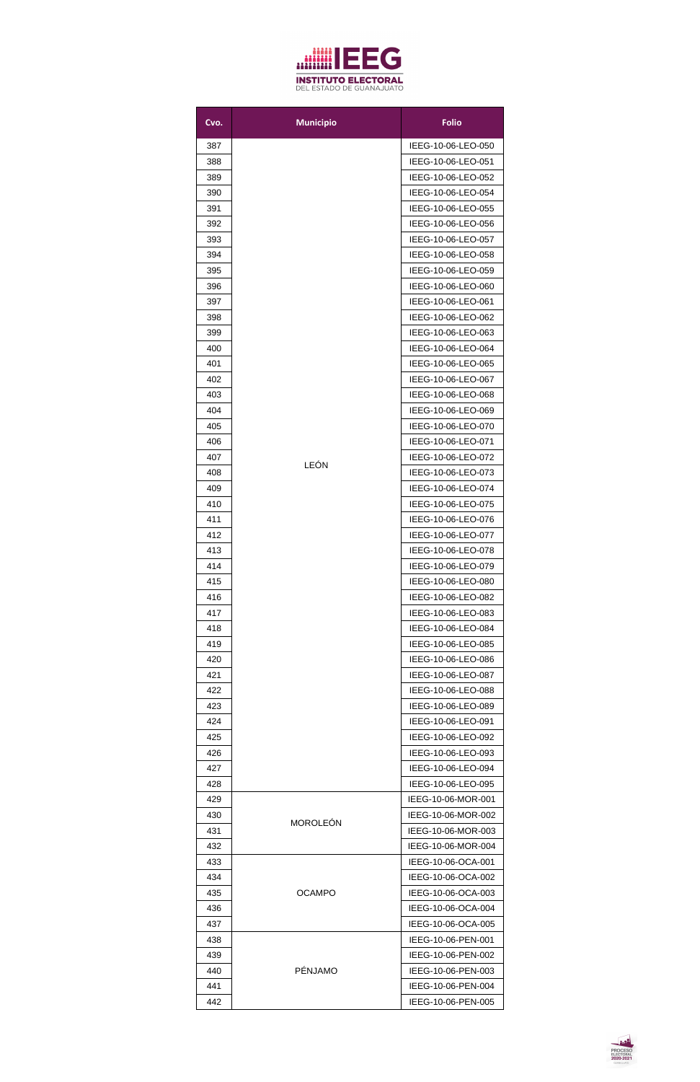

| Cvo.       | <b>Municipio</b> | <b>Folio</b>                             |
|------------|------------------|------------------------------------------|
| 387        |                  | IEEG-10-06-LEO-050                       |
| 388        |                  | IEEG-10-06-LEO-051                       |
| 389        |                  | IEEG-10-06-LEO-052                       |
| 390        |                  | IEEG-10-06-LEO-054                       |
| 391        |                  | IEEG-10-06-LEO-055                       |
| 392        |                  | IEEG-10-06-LEO-056                       |
| 393        |                  | IEEG-10-06-LEO-057                       |
| 394        |                  | IEEG-10-06-LEO-058                       |
| 395        |                  | IEEG-10-06-LEO-059                       |
| 396        |                  | IEEG-10-06-LEO-060                       |
| 397        |                  | IEEG-10-06-LEO-061                       |
| 398        |                  | IEEG-10-06-LEO-062                       |
| 399        |                  | IEEG-10-06-LEO-063                       |
| 400        |                  | IEEG-10-06-LEO-064                       |
| 401        |                  | IEEG-10-06-LEO-065                       |
| 402        |                  | IEEG-10-06-LEO-067                       |
| 403        |                  | IEEG-10-06-LEO-068                       |
| 404        |                  | IEEG-10-06-LEO-069                       |
| 405        |                  | IEEG-10-06-LEO-070                       |
| 406        |                  | IEEG-10-06-LEO-071                       |
| 407        |                  | IEEG-10-06-LEO-072                       |
| 408        | LEÓN             | IEEG-10-06-LEO-073                       |
| 409        |                  | IEEG-10-06-LEO-074                       |
| 410        |                  | IEEG-10-06-LEO-075                       |
| 411        |                  | IEEG-10-06-LEO-076                       |
| 412        |                  | IEEG-10-06-LEO-077                       |
| 413        |                  | IEEG-10-06-LEO-078                       |
| 414        |                  | IEEG-10-06-LEO-079                       |
| 415        |                  | IEEG-10-06-LEO-080                       |
| 416        |                  | IEEG-10-06-LEO-082                       |
| 417        |                  | IEEG-10-06-LEO-083                       |
| 418        |                  | IEEG-10-06-LEO-084                       |
| 419        |                  | IEEG-10-06-LEO-085                       |
| 420        |                  | IEEG-10-06-LEO-086                       |
| 421        |                  | IEEG-10-06-LEO-087                       |
| 422        |                  | IEEG-10-06-LEO-088                       |
| 423        |                  | IEEG-10-06-LEO-089                       |
| 424        |                  | IEEG-10-06-LEO-091                       |
| 425        |                  | IEEG-10-06-LEO-092                       |
| 426        |                  | IEEG-10-06-LEO-093                       |
| 427        |                  | IEEG-10-06-LEO-094                       |
| 428        |                  | IEEG-10-06-LEO-095                       |
| 429        |                  | IEEG-10-06-MOR-001                       |
| 430        | <b>MOROLEÓN</b>  | IEEG-10-06-MOR-002                       |
| 431        |                  | IEEG-10-06-MOR-003                       |
| 432        |                  | IEEG-10-06-MOR-004                       |
| 433        |                  | IEEG-10-06-OCA-001                       |
| 434        |                  | IEEG-10-06-OCA-002                       |
| 435<br>436 | <b>OCAMPO</b>    | IEEG-10-06-OCA-003<br>IEEG-10-06-OCA-004 |
| 437        |                  | IEEG-10-06-OCA-005                       |
|            |                  | IEEG-10-06-PEN-001                       |
| 438<br>439 |                  | IEEG-10-06-PEN-002                       |
| 440        | <b>PÉNJAMO</b>   | IEEG-10-06-PEN-003                       |
| 441        |                  | IEEG-10-06-PEN-004                       |
| 442        |                  | IEEG-10-06-PEN-005                       |
|            |                  |                                          |

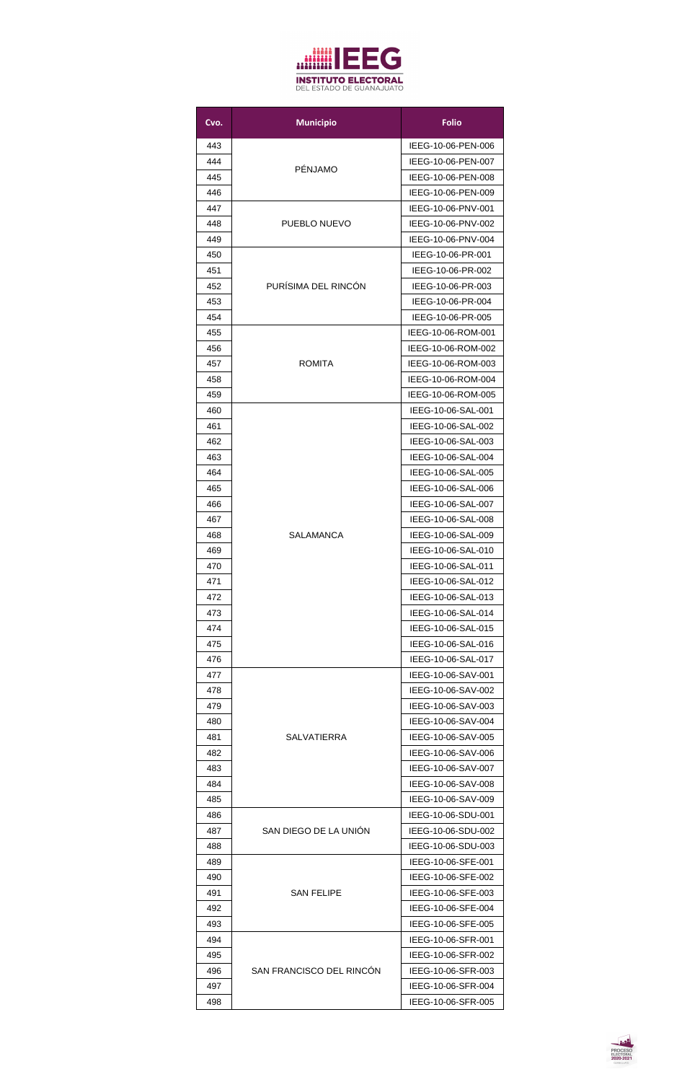

| Cvo. | <b>Municipio</b>         | <b>Folio</b>       |
|------|--------------------------|--------------------|
| 443  |                          | IEEG-10-06-PEN-006 |
| 444  |                          | IEEG-10-06-PEN-007 |
| 445  | <b>PÉNJAMO</b>           | IEEG-10-06-PEN-008 |
| 446  |                          | IEEG-10-06-PEN-009 |
| 447  |                          | IEEG-10-06-PNV-001 |
| 448  | PUEBLO NUEVO             | IEEG-10-06-PNV-002 |
| 449  |                          | IEEG-10-06-PNV-004 |
| 450  |                          | IEEG-10-06-PR-001  |
| 451  |                          | IEEG-10-06-PR-002  |
| 452  | PURÍSIMA DEL RINCÓN      | IEEG-10-06-PR-003  |
| 453  |                          | IEEG-10-06-PR-004  |
| 454  |                          | IEEG-10-06-PR-005  |
| 455  |                          | IEEG-10-06-ROM-001 |
| 456  |                          | IEEG-10-06-ROM-002 |
| 457  | <b>ROMITA</b>            | IEEG-10-06-ROM-003 |
| 458  |                          | IEEG-10-06-ROM-004 |
| 459  |                          | IEEG-10-06-ROM-005 |
| 460  |                          | IEEG-10-06-SAL-001 |
| 461  |                          | IEEG-10-06-SAL-002 |
| 462  |                          | IEEG-10-06-SAL-003 |
| 463  |                          | IEEG-10-06-SAL-004 |
|      |                          | IEEG-10-06-SAL-005 |
| 464  |                          |                    |
| 465  |                          | IEEG-10-06-SAL-006 |
| 466  |                          | IEEG-10-06-SAL-007 |
| 467  |                          | IEEG-10-06-SAL-008 |
| 468  | <b>SALAMANCA</b>         | IEEG-10-06-SAL-009 |
| 469  |                          | IEEG-10-06-SAL-010 |
| 470  |                          | IEEG-10-06-SAL-011 |
| 471  |                          | IEEG-10-06-SAL-012 |
| 472  |                          | IEEG-10-06-SAL-013 |
| 473  |                          | IEEG-10-06-SAL-014 |
| 474  |                          | IEEG-10-06-SAL-015 |
| 475  |                          | IEEG-10-06-SAL-016 |
| 476  |                          | IEEG-10-06-SAL-017 |
| 477  |                          | IEEG-10-06-SAV-001 |
| 478  |                          | IEEG-10-06-SAV-002 |
| 479  |                          | IEEG-10-06-SAV-003 |
| 480  |                          | IEEG-10-06-SAV-004 |
| 481  | <b>SALVATIERRA</b>       | IEEG-10-06-SAV-005 |
| 482  |                          | IEEG-10-06-SAV-006 |
| 483  |                          | IEEG-10-06-SAV-007 |
| 484  |                          | IEEG-10-06-SAV-008 |
| 485  |                          | IEEG-10-06-SAV-009 |
| 486  |                          | IEEG-10-06-SDU-001 |
| 487  | SAN DIEGO DE LA UNIÓN    | IEEG-10-06-SDU-002 |
| 488  |                          | IEEG-10-06-SDU-003 |
| 489  |                          | IEEG-10-06-SFE-001 |
| 490  |                          | IEEG-10-06-SFE-002 |
| 491  | <b>SAN FELIPE</b>        | IEEG-10-06-SFE-003 |
| 492  |                          | IEEG-10-06-SFE-004 |
| 493  |                          | IEEG-10-06-SFE-005 |
| 494  |                          | IEEG-10-06-SFR-001 |
| 495  |                          | IEEG-10-06-SFR-002 |
| 496  | SAN FRANCISCO DEL RINCÓN | IEEG-10-06-SFR-003 |
| 497  |                          | IEEG-10-06-SFR-004 |
| 498  |                          | IEEG-10-06-SFR-005 |

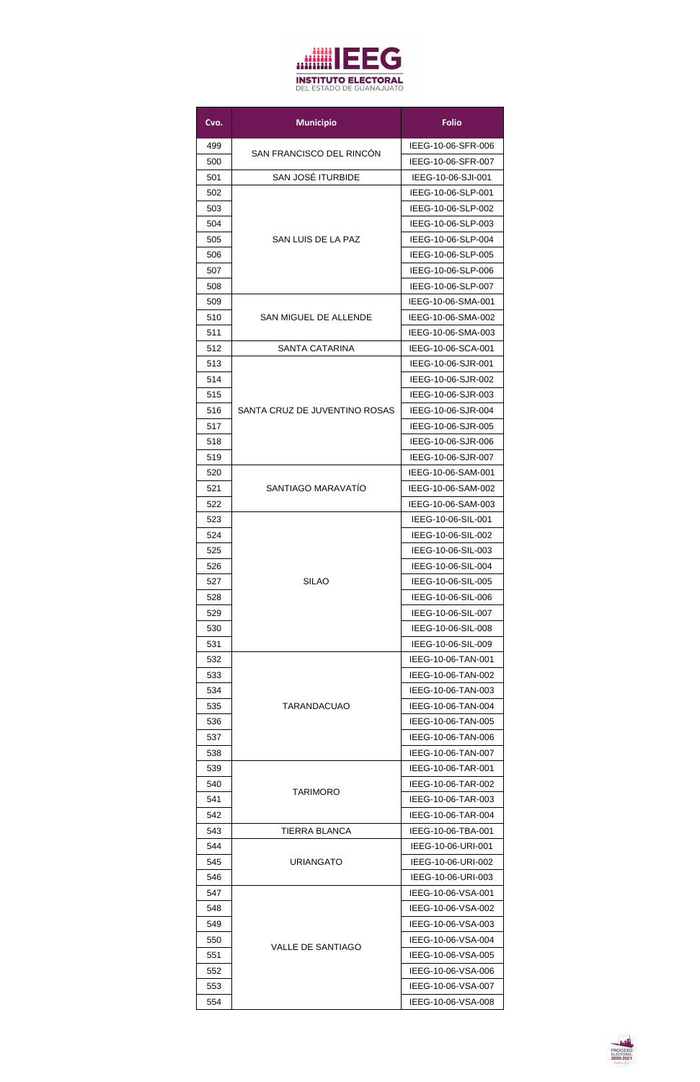

| Cvo. | <b>Municipio</b>              | <b>Folio</b>       |
|------|-------------------------------|--------------------|
| 499  |                               | IEEG-10-06-SFR-006 |
| 500  | SAN FRANCISCO DEL RINCÓN      | IEEG-10-06-SFR-007 |
| 501  | <b>SAN JOSÉ ITURBIDE</b>      | IEEG-10-06-SJI-001 |
| 502  |                               | IEEG-10-06-SLP-001 |
| 503  |                               | IEEG-10-06-SLP-002 |
| 504  |                               | IEEG-10-06-SLP-003 |
| 505  | SAN LUIS DE LA PAZ            | IEEG-10-06-SLP-004 |
| 506  |                               | IEEG-10-06-SLP-005 |
| 507  |                               | IEEG-10-06-SLP-006 |
| 508  |                               | IEEG-10-06-SLP-007 |
| 509  |                               | IEEG-10-06-SMA-001 |
| 510  | <b>SAN MIGUEL DE ALLENDE</b>  | IEEG-10-06-SMA-002 |
| 511  |                               | IEEG-10-06-SMA-003 |
| 512  | <b>SANTA CATARINA</b>         | IEEG-10-06-SCA-001 |
| 513  |                               | IEEG-10-06-SJR-001 |
| 514  |                               | IEEG-10-06-SJR-002 |
| 515  |                               | IEEG-10-06-SJR-003 |
| 516  | SANTA CRUZ DE JUVENTINO ROSAS | IEEG-10-06-SJR-004 |
| 517  |                               | IEEG-10-06-SJR-005 |
| 518  |                               | IEEG-10-06-SJR-006 |
| 519  |                               | IEEG-10-06-SJR-007 |
| 520  |                               | IEEG-10-06-SAM-001 |
| 521  | SANTIAGO MARAVATÍO            | IEEG-10-06-SAM-002 |
| 522  |                               | IEEG-10-06-SAM-003 |
| 523  |                               | IEEG-10-06-SIL-001 |
| 524  |                               | IEEG-10-06-SIL-002 |
| 525  |                               | IEEG-10-06-SIL-003 |
| 526  |                               | IEEG-10-06-SIL-004 |
| 527  | <b>SILAO</b>                  | IEEG-10-06-SIL-005 |
| 528  |                               | IEEG-10-06-SIL-006 |
| 529  |                               | IEEG-10-06-SIL-007 |
| 530  |                               | IEEG-10-06-SIL-008 |
| 531  |                               | IEEG-10-06-SIL-009 |
| 532  |                               | IEEG-10-06-TAN-001 |
| 533  |                               | IEEG-10-06-TAN-002 |
| 534  |                               | IEEG-10-06-TAN-003 |
| 535  | <b>TARANDACUAO</b>            | IEEG-10-06-TAN-004 |
| 536  |                               | IEEG-10-06-TAN-005 |
| 537  |                               | IEEG-10-06-TAN-006 |
| 538  |                               | IEEG-10-06-TAN-007 |
| 539  |                               | IEEG-10-06-TAR-001 |
| 540  | <b>TARIMORO</b>               | IEEG-10-06-TAR-002 |
| 541  |                               | IEEG-10-06-TAR-003 |
| 542  |                               | IEEG-10-06-TAR-004 |
| 543  | <b>TIERRA BLANCA</b>          | IEEG-10-06-TBA-001 |
| 544  |                               | IEEG-10-06-URI-001 |
| 545  | <b>URIANGATO</b>              | IEEG-10-06-URI-002 |
| 546  |                               | IEEG-10-06-URI-003 |
| 547  |                               | IEEG-10-06-VSA-001 |
| 548  |                               | IEEG-10-06-VSA-002 |
| 549  |                               | IEEG-10-06-VSA-003 |
| 550  | <b>VALLE DE SANTIAGO</b>      | IEEG-10-06-VSA-004 |
| 551  |                               | IEEG-10-06-VSA-005 |
| 552  |                               | IEEG-10-06-VSA-006 |
| 553  |                               | IEEG-10-06-VSA-007 |
| 554  |                               | IEEG-10-06-VSA-008 |